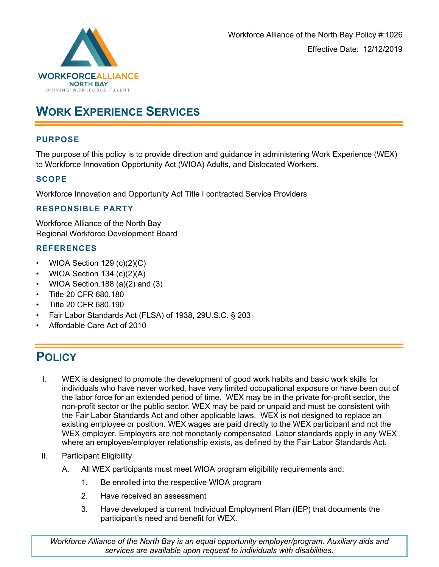

# **WORK EXPERIENCE SERVICES**

# **PURPOSE**

The purpose of this policy is to provide direction and guidance in administering Work Experience (WEX) to Workforce Innovation Opportunity Act (WIOA) Adults, and Dislocated Workers.

#### **SCOPE**

Workforce Innovation and Opportunity Act Title I contracted Service Providers

#### **RESPONSIBLE PARTY**

Workforce Alliance of the North Bay Regional Workforce Development Board

#### **REFERENCES**

- WIOA Section  $129$  (c)(2)(C)
- WIOA Section  $134$  (c)(2)(A)
- WIOA Section.188 (a) $(2)$  and  $(3)$
- Title 20 CFR 680.180
- Title 20 CFR 680.190
- Fair Labor Standards Act (FLSA) of 1938, 29U.S.C. § 203
- Affordable Care Act of 2010

# **POLICY**

- I. WEX is designed to promote the development of good work habits and basic work skills for individuals who have never worked, have very limited occupational exposure or have been out of the labor force for an extended period of time. WEX may be in the private for-profit sector, the non-profit sector or the public sector. WEX may be paid or unpaid and must be consistent with the Fair Labor Standards Act and other applicable laws. WEX is not designed to replace an existing employee or position. WEX wages are paid directly to the WEX participant and not the WEX employer. Employers are not monetarily compensated. Labor standards apply in any WEX where an employee/employer relationship exists, as defined by the Fair Labor Standards Act.
- II. Participant Eligibility
	- A. All WEX participants must meet WIOA program eligibility requirements and:
		- 1. Be enrolled into the respective WIOA program
		- 2. Have received an assessment
		- 3. Have developed a current Individual Employment Plan (IEP) that documents the participant's need and benefit for WEX.

*Workforce Alliance of the North Bay is an equal opportunity employer/program. Auxiliary aids and services are available upon request to individuals with disabilities.*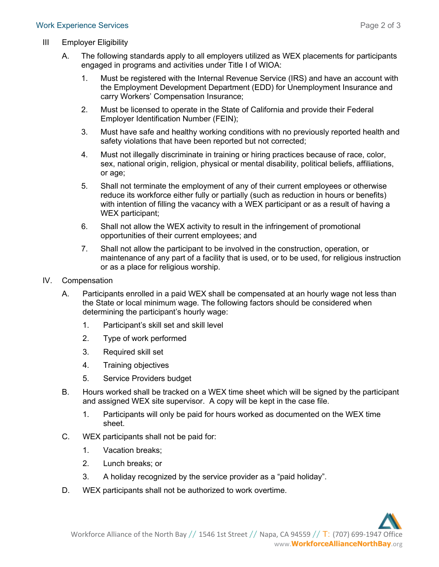- III Employer Eligibility
	- A. The following standards apply to all employers utilized as WEX placements for participants engaged in programs and activities under Title I of WIOA:
		- 1. Must be registered with the Internal Revenue Service (IRS) and have an account with the Employment Development Department (EDD) for Unemployment Insurance and carry Workers' Compensation Insurance;
		- 2. Must be licensed to operate in the State of California and provide their Federal Employer Identification Number (FEIN);
		- 3. Must have safe and healthy working conditions with no previously reported health and safety violations that have been reported but not corrected;
		- 4. Must not illegally discriminate in training or hiring practices because of race, color, sex, national origin, religion, physical or mental disability, political beliefs, affiliations, or age;
		- 5. Shall not terminate the employment of any of their current employees or otherwise reduce its workforce either fully or partially (such as reduction in hours or benefits) with intention of filling the vacancy with a WEX participant or as a result of having a WEX participant;
		- 6. Shall not allow the WEX activity to result in the infringement of promotional opportunities of their current employees; and
		- 7. Shall not allow the participant to be involved in the construction, operation, or maintenance of any part of a facility that is used, or to be used, for religious instruction or as a place for religious worship.
- IV. Compensation
	- A. Participants enrolled in a paid WEX shall be compensated at an hourly wage not less than the State or local minimum wage. The following factors should be considered when determining the participant's hourly wage:
		- 1. Participant's skill set and skill level
		- 2. Type of work performed
		- 3. Required skill set
		- 4. Training objectives
		- 5. Service Providers budget
	- B. Hours worked shall be tracked on a WEX time sheet which will be signed by the participant and assigned WEX site supervisor. A copy will be kept in the case file.
		- 1. Participants will only be paid for hours worked as documented on the WEX time sheet.
	- C. WEX participants shall not be paid for:
		- 1. Vacation breaks;
		- 2. Lunch breaks; or
		- 3. A holiday recognized by the service provider as a "paid holiday".
	- D. WEX participants shall not be authorized to work overtime.